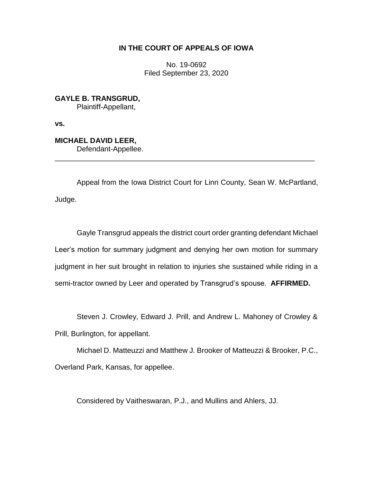# **IN THE COURT OF APPEALS OF IOWA**

No. 19-0692 Filed September 23, 2020

**GAYLE B. TRANSGRUD,** Plaintiff-Appellant,

**vs.**

**MICHAEL DAVID LEER,** Defendant-Appellee.

Appeal from the Iowa District Court for Linn County, Sean W. McPartland, Judge.

\_\_\_\_\_\_\_\_\_\_\_\_\_\_\_\_\_\_\_\_\_\_\_\_\_\_\_\_\_\_\_\_\_\_\_\_\_\_\_\_\_\_\_\_\_\_\_\_\_\_\_\_\_\_\_\_\_\_\_\_\_\_\_\_

Gayle Transgrud appeals the district court order granting defendant Michael Leer's motion for summary judgment and denying her own motion for summary judgment in her suit brought in relation to injuries she sustained while riding in a semi-tractor owned by Leer and operated by Transgrud's spouse. **AFFIRMED.**

Steven J. Crowley, Edward J. Prill, and Andrew L. Mahoney of Crowley &

Prill, Burlington, for appellant.

Michael D. Matteuzzi and Matthew J. Brooker of Matteuzzi & Brooker, P.C., Overland Park, Kansas, for appellee.

Considered by Vaitheswaran, P.J., and Mullins and Ahlers, JJ.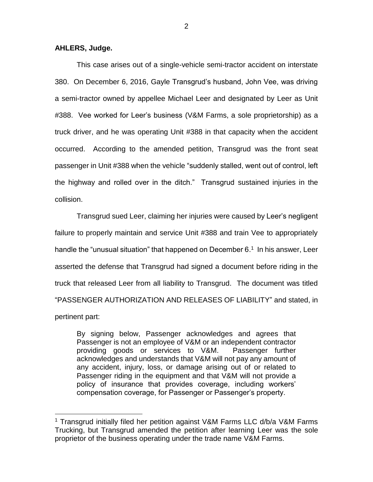## **AHLERS, Judge.**

 $\overline{a}$ 

This case arises out of a single-vehicle semi-tractor accident on interstate 380. On December 6, 2016, Gayle Transgrud's husband, John Vee, was driving a semi-tractor owned by appellee Michael Leer and designated by Leer as Unit #388. Vee worked for Leer's business (V&M Farms, a sole proprietorship) as a truck driver, and he was operating Unit #388 in that capacity when the accident occurred. According to the amended petition, Transgrud was the front seat passenger in Unit #388 when the vehicle "suddenly stalled, went out of control, left the highway and rolled over in the ditch." Transgrud sustained injuries in the collision.

Transgrud sued Leer, claiming her injuries were caused by Leer's negligent failure to properly maintain and service Unit #388 and train Vee to appropriately handle the "unusual situation" that happened on December 6.<sup>1</sup> In his answer, Leer asserted the defense that Transgrud had signed a document before riding in the truck that released Leer from all liability to Transgrud. The document was titled "PASSENGER AUTHORIZATION AND RELEASES OF LIABILITY" and stated, in pertinent part:

By signing below, Passenger acknowledges and agrees that Passenger is not an employee of V&M or an independent contractor providing goods or services to V&M. Passenger further acknowledges and understands that V&M will not pay any amount of any accident, injury, loss, or damage arising out of or related to Passenger riding in the equipment and that V&M will not provide a policy of insurance that provides coverage, including workers' compensation coverage, for Passenger or Passenger's property.

<sup>&</sup>lt;sup>1</sup> Transgrud initially filed her petition against V&M Farms LLC d/b/a V&M Farms Trucking, but Transgrud amended the petition after learning Leer was the sole proprietor of the business operating under the trade name V&M Farms.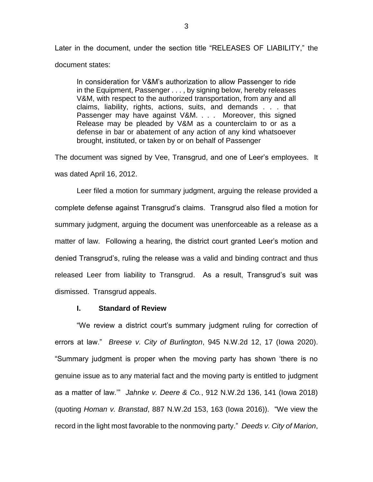Later in the document, under the section title "RELEASES OF LIABILITY," the document states:

In consideration for V&M's authorization to allow Passenger to ride in the Equipment, Passenger . . . , by signing below, hereby releases V&M, with respect to the authorized transportation, from any and all claims, liability, rights, actions, suits, and demands . . . that Passenger may have against V&M. . . . Moreover, this signed Release may be pleaded by V&M as a counterclaim to or as a defense in bar or abatement of any action of any kind whatsoever brought, instituted, or taken by or on behalf of Passenger

The document was signed by Vee, Transgrud, and one of Leer's employees. It was dated April 16, 2012.

Leer filed a motion for summary judgment, arguing the release provided a complete defense against Transgrud's claims. Transgrud also filed a motion for summary judgment, arguing the document was unenforceable as a release as a matter of law. Following a hearing, the district court granted Leer's motion and denied Transgrud's, ruling the release was a valid and binding contract and thus released Leer from liability to Transgrud. As a result, Transgrud's suit was dismissed. Transgrud appeals.

## **I. Standard of Review**

"We review a district court's summary judgment ruling for correction of errors at law." *Breese v. City of Burlington*, 945 N.W.2d 12, 17 (Iowa 2020). "Summary judgment is proper when the moving party has shown 'there is no genuine issue as to any material fact and the moving party is entitled to judgment as a matter of law.'" *Jahnke v. Deere & Co.*, 912 N.W.2d 136, 141 (Iowa 2018) (quoting *Homan v. Branstad*, 887 N.W.2d 153, 163 (Iowa 2016)). "We view the record in the light most favorable to the nonmoving party." *Deeds v. City of Marion*,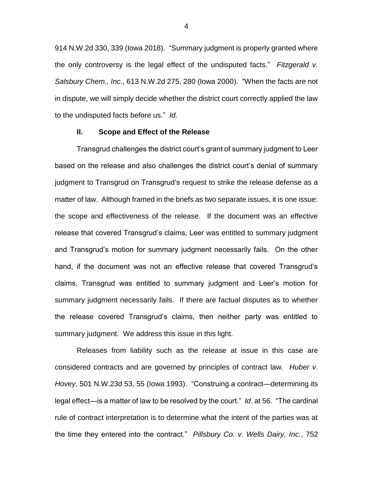914 N.W.2d 330, 339 (Iowa 2018). "Summary judgment is properly granted where the only controversy is the legal effect of the undisputed facts." *Fitzgerald v. Salsbury Chem., Inc.*, 613 N.W.2d 275, 280 (Iowa 2000). "When the facts are not in dispute, we will simply decide whether the district court correctly applied the law to the undisputed facts before us." *Id.*

#### **II. Scope and Effect of the Release**

Transgrud challenges the district court's grant of summary judgment to Leer based on the release and also challenges the district court's denial of summary judgment to Transgrud on Transgrud's request to strike the release defense as a matter of law. Although framed in the briefs as two separate issues, it is one issue: the scope and effectiveness of the release. If the document was an effective release that covered Transgrud's claims, Leer was entitled to summary judgment and Transgrud's motion for summary judgment necessarily fails. On the other hand, if the document was not an effective release that covered Transgrud's claims, Transgrud was entitled to summary judgment and Leer's motion for summary judgment necessarily fails. If there are factual disputes as to whether the release covered Transgrud's claims, then neither party was entitled to summary judgment. We address this issue in this light.

Releases from liability such as the release at issue in this case are considered contracts and are governed by principles of contract law. *Huber v. Hovey*, 501 N.W.23d 53, 55 (Iowa 1993). "Construing a contract—determining its legal effect—is a matter of law to be resolved by the court." *Id*. at 56. "The cardinal rule of contract interpretation is to determine what the intent of the parties was at the time they entered into the contract." *Pillsbury Co. v. Wells Dairy, Inc.*, 752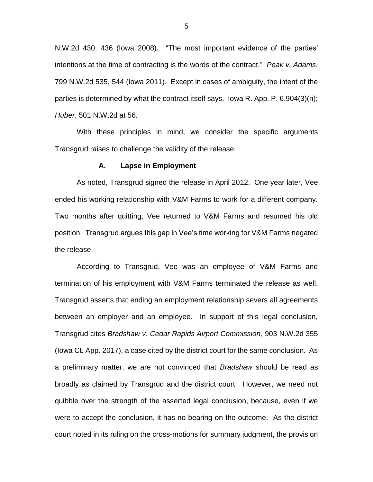N.W.2d 430, 436 (Iowa 2008). "The most important evidence of the parties' intentions at the time of contracting is the words of the contract." *Peak v. Adams*, 799 N.W.2d 535, 544 (Iowa 2011). Except in cases of ambiguity, the intent of the parties is determined by what the contract itself says. Iowa R. App. P. 6.904(3)(n); *Huber*, 501 N.W.2d at 56.

With these principles in mind, we consider the specific arguments Transgrud raises to challenge the validity of the release.

#### **A. Lapse in Employment**

As noted, Transgrud signed the release in April 2012. One year later, Vee ended his working relationship with V&M Farms to work for a different company. Two months after quitting, Vee returned to V&M Farms and resumed his old position. Transgrud argues this gap in Vee's time working for V&M Farms negated the release.

According to Transgrud, Vee was an employee of V&M Farms and termination of his employment with V&M Farms terminated the release as well. Transgrud asserts that ending an employment relationship severs all agreements between an employer and an employee. In support of this legal conclusion, Transgrud cites *Bradshaw v. Cedar Rapids Airport Commission*, 903 N.W.2d 355 (Iowa Ct. App. 2017), a case cited by the district court for the same conclusion. As a preliminary matter, we are not convinced that *Bradshaw* should be read as broadly as claimed by Transgrud and the district court. However, we need not quibble over the strength of the asserted legal conclusion, because, even if we were to accept the conclusion, it has no bearing on the outcome. As the district court noted in its ruling on the cross-motions for summary judgment, the provision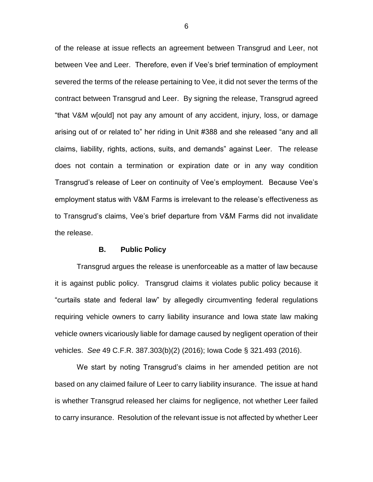of the release at issue reflects an agreement between Transgrud and Leer, not between Vee and Leer. Therefore, even if Vee's brief termination of employment severed the terms of the release pertaining to Vee, it did not sever the terms of the contract between Transgrud and Leer. By signing the release, Transgrud agreed "that V&M w[ould] not pay any amount of any accident, injury, loss, or damage arising out of or related to" her riding in Unit #388 and she released "any and all claims, liability, rights, actions, suits, and demands" against Leer. The release does not contain a termination or expiration date or in any way condition Transgrud's release of Leer on continuity of Vee's employment. Because Vee's employment status with V&M Farms is irrelevant to the release's effectiveness as to Transgrud's claims, Vee's brief departure from V&M Farms did not invalidate the release.

## **B. Public Policy**

Transgrud argues the release is unenforceable as a matter of law because it is against public policy. Transgrud claims it violates public policy because it "curtails state and federal law" by allegedly circumventing federal regulations requiring vehicle owners to carry liability insurance and Iowa state law making vehicle owners vicariously liable for damage caused by negligent operation of their vehicles. *See* 49 C.F.R. 387.303(b)(2) (2016); Iowa Code § 321.493 (2016).

We start by noting Transgrud's claims in her amended petition are not based on any claimed failure of Leer to carry liability insurance. The issue at hand is whether Transgrud released her claims for negligence, not whether Leer failed to carry insurance. Resolution of the relevant issue is not affected by whether Leer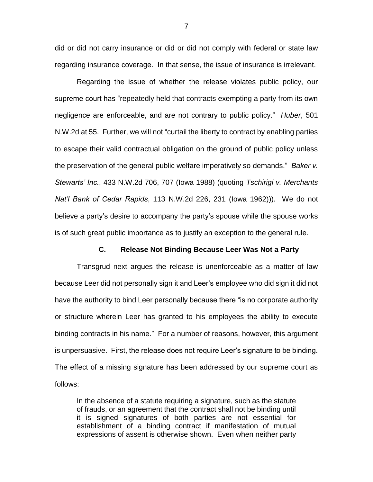did or did not carry insurance or did or did not comply with federal or state law regarding insurance coverage. In that sense, the issue of insurance is irrelevant.

Regarding the issue of whether the release violates public policy, our supreme court has "repeatedly held that contracts exempting a party from its own negligence are enforceable, and are not contrary to public policy." *Huber*, 501 N.W.2d at 55. Further, we will not "curtail the liberty to contract by enabling parties to escape their valid contractual obligation on the ground of public policy unless the preservation of the general public welfare imperatively so demands." *Baker v. Stewarts' Inc.*, 433 N.W.2d 706, 707 (Iowa 1988) (quoting *Tschirigi v. Merchants Nat'l Bank of Cedar Rapids*, 113 N.W.2d 226, 231 (Iowa 1962))). We do not believe a party's desire to accompany the party's spouse while the spouse works is of such great public importance as to justify an exception to the general rule.

## **C. Release Not Binding Because Leer Was Not a Party**

Transgrud next argues the release is unenforceable as a matter of law because Leer did not personally sign it and Leer's employee who did sign it did not have the authority to bind Leer personally because there "is no corporate authority or structure wherein Leer has granted to his employees the ability to execute binding contracts in his name." For a number of reasons, however, this argument is unpersuasive. First, the release does not require Leer's signature to be binding. The effect of a missing signature has been addressed by our supreme court as follows:

In the absence of a statute requiring a signature, such as the statute of frauds, or an agreement that the contract shall not be binding until it is signed signatures of both parties are not essential for establishment of a binding contract if manifestation of mutual expressions of assent is otherwise shown. Even when neither party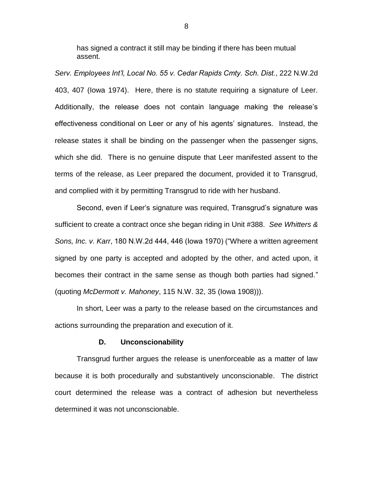has signed a contract it still may be binding if there has been mutual assent.

*Serv. Employees Int'l, Local No. 55 v. Cedar Rapids Cmty. Sch. Dist.*, 222 N.W.2d 403, 407 (Iowa 1974). Here, there is no statute requiring a signature of Leer. Additionally, the release does not contain language making the release's effectiveness conditional on Leer or any of his agents' signatures. Instead, the release states it shall be binding on the passenger when the passenger signs, which she did. There is no genuine dispute that Leer manifested assent to the terms of the release, as Leer prepared the document, provided it to Transgrud, and complied with it by permitting Transgrud to ride with her husband.

Second, even if Leer's signature was required, Transgrud's signature was sufficient to create a contract once she began riding in Unit #388. *See Whitters & Sons, Inc. v. Karr*, 180 N.W.2d 444, 446 (Iowa 1970) ("Where a written agreement signed by one party is accepted and adopted by the other, and acted upon, it becomes their contract in the same sense as though both parties had signed." (quoting *McDermott v. Mahoney*, 115 N.W. 32, 35 (Iowa 1908))).

In short, Leer was a party to the release based on the circumstances and actions surrounding the preparation and execution of it.

#### **D. Unconscionability**

Transgrud further argues the release is unenforceable as a matter of law because it is both procedurally and substantively unconscionable. The district court determined the release was a contract of adhesion but nevertheless determined it was not unconscionable.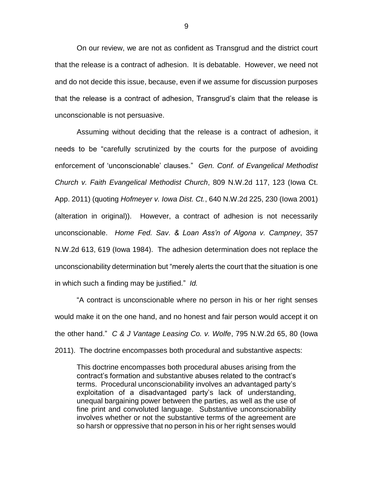On our review, we are not as confident as Transgrud and the district court that the release is a contract of adhesion. It is debatable. However, we need not and do not decide this issue, because, even if we assume for discussion purposes that the release is a contract of adhesion, Transgrud's claim that the release is unconscionable is not persuasive.

Assuming without deciding that the release is a contract of adhesion, it needs to be "carefully scrutinized by the courts for the purpose of avoiding enforcement of 'unconscionable' clauses." *Gen. Conf. of Evangelical Methodist Church v. Faith Evangelical Methodist Church*, 809 N.W.2d 117, 123 (Iowa Ct. App. 2011) (quoting *Hofmeyer v. Iowa Dist. Ct.*, 640 N.W.2d 225, 230 (Iowa 2001) (alteration in original)). However, a contract of adhesion is not necessarily unconscionable. *Home Fed. Sav. & Loan Ass'n of Algona v. Campney*, 357 N.W.2d 613, 619 (Iowa 1984). The adhesion determination does not replace the unconscionability determination but "merely alerts the court that the situation is one in which such a finding may be justified." *Id.*

"A contract is unconscionable where no person in his or her right senses would make it on the one hand, and no honest and fair person would accept it on the other hand." *C & J Vantage Leasing Co. v. Wolfe*, 795 N.W.2d 65, 80 (Iowa 2011). The doctrine encompasses both procedural and substantive aspects:

This doctrine encompasses both procedural abuses arising from the contract's formation and substantive abuses related to the contract's terms. Procedural unconscionability involves an advantaged party's exploitation of a disadvantaged party's lack of understanding, unequal bargaining power between the parties, as well as the use of fine print and convoluted language. Substantive unconscionability involves whether or not the substantive terms of the agreement are so harsh or oppressive that no person in his or her right senses would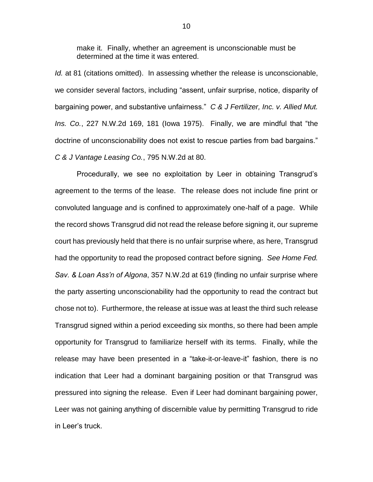make it. Finally, whether an agreement is unconscionable must be determined at the time it was entered.

*Id.* at 81 (citations omitted). In assessing whether the release is unconscionable, we consider several factors, including "assent, unfair surprise, notice, disparity of bargaining power, and substantive unfairness." *C & J Fertilizer, Inc. v. Allied Mut. Ins. Co.*, 227 N.W.2d 169, 181 (Iowa 1975). Finally, we are mindful that "the doctrine of unconscionability does not exist to rescue parties from bad bargains." *C & J Vantage Leasing Co.*, 795 N.W.2d at 80.

Procedurally, we see no exploitation by Leer in obtaining Transgrud's agreement to the terms of the lease. The release does not include fine print or convoluted language and is confined to approximately one-half of a page. While the record shows Transgrud did not read the release before signing it, our supreme court has previously held that there is no unfair surprise where, as here, Transgrud had the opportunity to read the proposed contract before signing. *See Home Fed. Sav. & Loan Ass'n of Algona*, 357 N.W.2d at 619 (finding no unfair surprise where the party asserting unconscionability had the opportunity to read the contract but chose not to). Furthermore, the release at issue was at least the third such release Transgrud signed within a period exceeding six months, so there had been ample opportunity for Transgrud to familiarize herself with its terms. Finally, while the release may have been presented in a "take-it-or-leave-it" fashion, there is no indication that Leer had a dominant bargaining position or that Transgrud was pressured into signing the release. Even if Leer had dominant bargaining power, Leer was not gaining anything of discernible value by permitting Transgrud to ride in Leer's truck.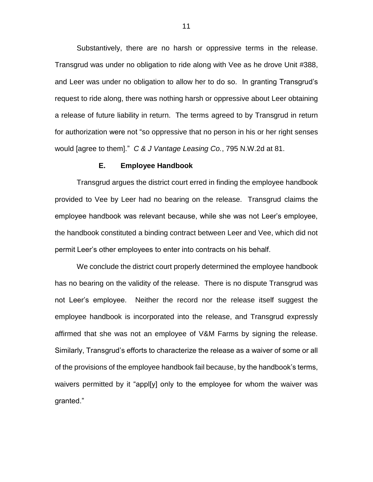Substantively, there are no harsh or oppressive terms in the release. Transgrud was under no obligation to ride along with Vee as he drove Unit #388, and Leer was under no obligation to allow her to do so. In granting Transgrud's request to ride along, there was nothing harsh or oppressive about Leer obtaining a release of future liability in return. The terms agreed to by Transgrud in return for authorization were not "so oppressive that no person in his or her right senses would [agree to them]." *C & J Vantage Leasing Co.*, 795 N.W.2d at 81.

#### **E. Employee Handbook**

Transgrud argues the district court erred in finding the employee handbook provided to Vee by Leer had no bearing on the release. Transgrud claims the employee handbook was relevant because, while she was not Leer's employee, the handbook constituted a binding contract between Leer and Vee, which did not permit Leer's other employees to enter into contracts on his behalf.

We conclude the district court properly determined the employee handbook has no bearing on the validity of the release. There is no dispute Transgrud was not Leer's employee. Neither the record nor the release itself suggest the employee handbook is incorporated into the release, and Transgrud expressly affirmed that she was not an employee of V&M Farms by signing the release. Similarly, Transgrud's efforts to characterize the release as a waiver of some or all of the provisions of the employee handbook fail because, by the handbook's terms, waivers permitted by it "appl[y] only to the employee for whom the waiver was granted."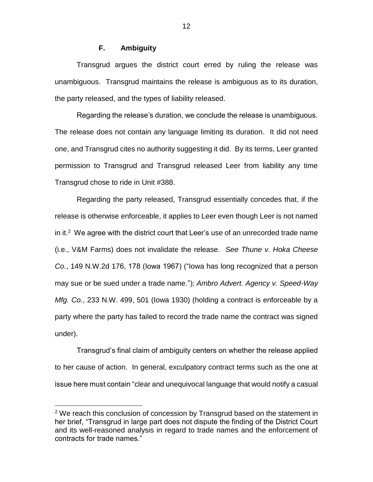# **F. Ambiguity**

Transgrud argues the district court erred by ruling the release was unambiguous. Transgrud maintains the release is ambiguous as to its duration, the party released, and the types of liability released.

Regarding the release's duration, we conclude the release is unambiguous. The release does not contain any language limiting its duration. It did not need one, and Transgrud cites no authority suggesting it did. By its terms, Leer granted permission to Transgrud and Transgrud released Leer from liability any time Transgrud chose to ride in Unit #388.

Regarding the party released, Transgrud essentially concedes that, if the release is otherwise enforceable, it applies to Leer even though Leer is not named in it.<sup>2</sup> We agree with the district court that Leer's use of an unrecorded trade name (i.e., V&M Farms) does not invalidate the release. *See Thune v. Hoka Cheese Co.*, 149 N.W.2d 176, 178 (Iowa 1967) ("Iowa has long recognized that a person may sue or be sued under a trade name."); *Ambro Advert. Agency v. Speed-Way Mfg. Co.*, 233 N.W. 499, 501 (Iowa 1930) (holding a contract is enforceable by a party where the party has failed to record the trade name the contract was signed under).

Transgrud's final claim of ambiguity centers on whether the release applied to her cause of action. In general, exculpatory contract terms such as the one at issue here must contain "clear and unequivocal language that would notify a casual

 $\overline{a}$ 

 $2$  We reach this conclusion of concession by Transgrud based on the statement in her brief, "Transgrud in large part does not dispute the finding of the District Court and its well-reasoned analysis in regard to trade names and the enforcement of contracts for trade names."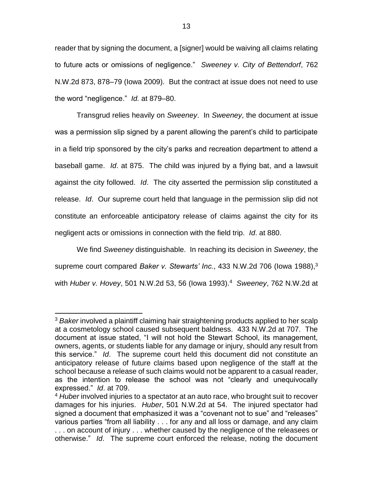reader that by signing the document, a [signer] would be waiving all claims relating to future acts or omissions of negligence." *Sweeney v. City of Bettendorf*, 762 N.W.2d 873, 878–79 (Iowa 2009). But the contract at issue does not need to use the word "negligence." *Id.* at 879–80.

Transgrud relies heavily on *Sweeney*. In *Sweeney*, the document at issue was a permission slip signed by a parent allowing the parent's child to participate in a field trip sponsored by the city's parks and recreation department to attend a baseball game. *Id*. at 875. The child was injured by a flying bat, and a lawsuit against the city followed. *Id*. The city asserted the permission slip constituted a release. *Id*. Our supreme court held that language in the permission slip did not constitute an enforceable anticipatory release of claims against the city for its negligent acts or omissions in connection with the field trip. *Id*. at 880.

We find *Sweeney* distinguishable. In reaching its decision in *Sweeney*, the supreme court compared *Baker v. Stewarts' Inc.*, 433 N.W.2d 706 (lowa 1988),<sup>3</sup> with *Huber v. Hovey*, 501 N.W.2d 53, 56 (Iowa 1993).<sup>4</sup> *Sweeney*, 762 N.W.2d at

 $\overline{a}$ <sup>3</sup> *Baker* involved a plaintiff claiming hair straightening products applied to her scalp at a cosmetology school caused subsequent baldness. 433 N.W.2d at 707. The document at issue stated, "I will not hold the Stewart School, its management, owners, agents, or students liable for any damage or injury, should any result from this service." *Id*. The supreme court held this document did not constitute an anticipatory release of future claims based upon negligence of the staff at the school because a release of such claims would not be apparent to a casual reader, as the intention to release the school was not "clearly and unequivocally expressed." *Id*. at 709.

<sup>4</sup> *Huber* involved injuries to a spectator at an auto race, who brought suit to recover damages for his injuries. *Huber*, 501 N.W.2d at 54. The injured spectator had signed a document that emphasized it was a "covenant not to sue" and "releases" various parties "from all liability . . . for any and all loss or damage, and any claim ... on account of injury ... whether caused by the negligence of the releasees or otherwise." *Id*. The supreme court enforced the release, noting the document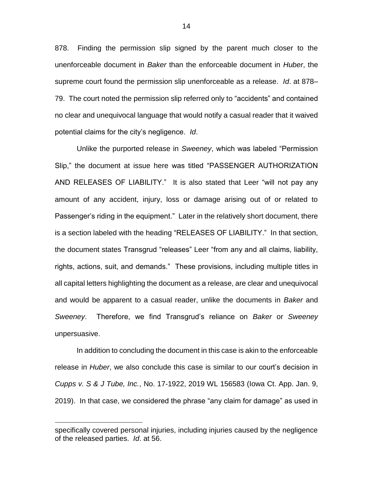878. Finding the permission slip signed by the parent much closer to the unenforceable document in *Baker* than the enforceable document in *Huber*, the supreme court found the permission slip unenforceable as a release. *Id*. at 878– 79. The court noted the permission slip referred only to "accidents" and contained no clear and unequivocal language that would notify a casual reader that it waived potential claims for the city's negligence. *Id*.

Unlike the purported release in *Sweeney*, which was labeled "Permission Slip," the document at issue here was titled "PASSENGER AUTHORIZATION AND RELEASES OF LIABILITY." It is also stated that Leer "will not pay any amount of any accident, injury, loss or damage arising out of or related to Passenger's riding in the equipment." Later in the relatively short document, there is a section labeled with the heading "RELEASES OF LIABILITY." In that section, the document states Transgrud "releases" Leer "from any and all claims, liability, rights, actions, suit, and demands." These provisions, including multiple titles in all capital letters highlighting the document as a release, are clear and unequivocal and would be apparent to a casual reader, unlike the documents in *Baker* and *Sweeney*. Therefore, we find Transgrud's reliance on *Baker* or *Sweeney* unpersuasive.

In addition to concluding the document in this case is akin to the enforceable release in *Huber*, we also conclude this case is similar to our court's decision in *Cupps v. S & J Tube, Inc.*, No. 17-1922, 2019 WL 156583 (Iowa Ct. App. Jan. 9, 2019). In that case, we considered the phrase "any claim for damage" as used in

 $\overline{a}$ 

specifically covered personal injuries, including injuries caused by the negligence of the released parties. *Id*. at 56.